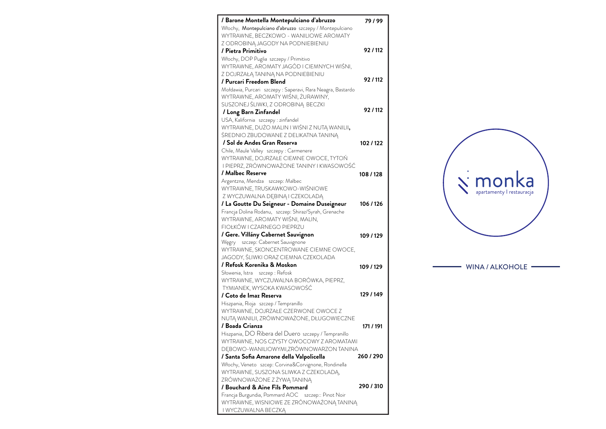

## - WINA / ALKOHOLE -

| / Barone Montella Montepulciano d'abruzzo                               | 79/99     |
|-------------------------------------------------------------------------|-----------|
| Włochy, Montepulciano d'abruzzo szczepy / Montepulciano                 |           |
| WYTRAWNE, BECZKOWO - WANILIOWE AROMATY                                  |           |
| Z ODROBINĄ JAGODY NA PODNIEBIENIU                                       |           |
| / Pietra Primitivo                                                      | 92/112    |
| Włochy, DOP Puglia szczepy / Primitivo                                  |           |
| WYTRAWNE, AROMATY JAGÓD I CIEMNYCH WIŚNI,                               |           |
| Z DOJRZAŁĄ TANINĄ NA PODNIEBIENIU                                       |           |
| / Purcari Freedom Blend                                                 | 92/112    |
| Mołdawia, Purcari szczepy: Saperavi, Rara Neagra, Bastardo              |           |
| WYTRAWNE, AROMATY WIŚNI, ŻURAWINY,                                      |           |
| SUSZONEJ ŚLIWKI, Z ODROBINĄ BECZKI                                      | 92/112    |
| / Long Barn Zinfandel                                                   |           |
| USA, Kalifornia szczepy : zinfandel                                     |           |
| WYTRAWNE, DUŻO MALIN I WIŚNI Z NUTĄ WANILII,                            |           |
| ŚREDNIO ZBUDOWANE Z DELIKATNA TANINĄ                                    |           |
| / Sol de Andes Gran Reserva                                             | 102/122   |
| Chile, Maule Valley szczepy : Carmenere                                 |           |
| WYTRAWNE, DOJRZAŁE CIEMNE OWOCE, TYTOŃ                                  |           |
| I PIEPRZ, ZRÓWNOWAŻONE TANINY I KWASOWOŚĆ                               |           |
| / Malbec Reserve                                                        | 108/128   |
| Argentzna, Mendza szczep: Malbec                                        |           |
| WYTRAWNE, TRUSKAWKOWO-WIŚNIOWE                                          |           |
| Z WYCZUWALNA DĘBINĄ I CZEKOLADĄ                                         |           |
| / La Goutte Du Seigneur - Domaine Duseigneur                            | 106/126   |
| Francja Dolina Rodanu, szczep: Shiraz/Syrah, Grenache                   |           |
| WYTRAWNE, AROMATY WIŚNI, MALIN,<br>FIOŁKÓW I CZARNEGO PIEPRZU           |           |
|                                                                         |           |
| / Gere. Villány Cabernet Sauvignon<br>Węgry szczep: Cabernet Sauvignone | 109 / 129 |
| WYTRAWNE, SKONCENTROWANE CIEMNE OWOCE,                                  |           |
| JAGODY, ŚLIWKI ORAZ CIEMNA CZEKOLADA                                    |           |
| / Refosk Korenika & Moskon                                              |           |
| Słowenia, Istra szczep: Refosk                                          | 109/129   |
| WYTRAWNE, WYCZUWALNA BORÓWKA, PIEPRZ,                                   |           |
| TYMIANEK, WYSOKA KWASOWOŚĆ                                              |           |
| / Coto de Imaz Reserva                                                  | 129 / 149 |
| Hiszpania, Rioja szczep / Tempranillo                                   |           |
| WYTRAWNE, DOJRZAŁE CZERWONE OWOCE Z                                     |           |
| NUTĄ WANILII, ZRÓWNOWAŻONE, DŁUGOWIECZNE                                |           |
| / Boada Crianza                                                         | 171 / 191 |
| Hiszpania, DO Ribera del Duero szczepy / Tempranillo                    |           |
| WYTRAWNE, NOS CZYSTY OWOCOWY Z AROMATAMI                                |           |
| DĘBOWO-WANILIOWYMI,ZRÓWNOWARZON TANINA                                  |           |
| / Santa Sofia Amarone della Valpolicella                                | 260/290   |
| Włochy, Veneto szcep: Corvina&Corvignone, Rondinella                    |           |
| WYTRAWNE, SUSZONA SLIWKA Z CZEKOLADĄ,                                   |           |
| ZRÓWNOWAŻONE Z ŻYWĄ TANINĄ                                              |           |
| / Bouchard & Aine Fils Pommard                                          | 290 / 310 |
| Francja Burgundia, Pommard AOC szczep:: Pinot Noir                      |           |
| WYTRAWNE, WISNIOWE ZE ZRÓNOWAŻONĄ TANINĄ                                |           |
| I WYCZUWALNA BECZKĄ                                                     |           |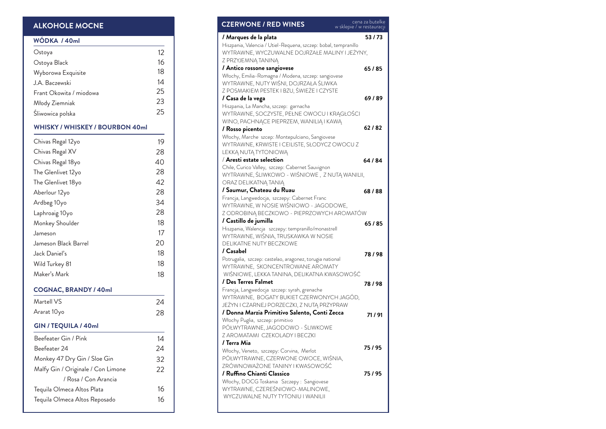| <b>CZERWONE / RED WINES</b>                                                                        | cena za butelke<br>w sklepie / w restauracji |
|----------------------------------------------------------------------------------------------------|----------------------------------------------|
| / Marques de la plata                                                                              | 53/73                                        |
| Hiszpania, Valencia / Utiel-Requena, szczep: bobal, tempranillo                                    |                                              |
| WYTRAWNE, WYCZUWALNE DOJRZAŁE MALINY I JEŻYNY,                                                     |                                              |
| Z PRZYJEMNĄ TANINĄ                                                                                 |                                              |
| / Antico rossone sangiovese                                                                        | 65/85                                        |
| Włochy, Emilia-Romagna / Modena, szczep: sangiovese                                                |                                              |
| WYTRAWNE, NUTY WIŚNI, DOJRZAŁA ŚLIWKA<br>Z POSMAKIEM PESTEK I BZU, ŚWIEŻE I CZYSTE                 |                                              |
| / Casa de la vega                                                                                  | 69/89                                        |
| Hiszpania, La Mancha, szczep: garnacha                                                             |                                              |
| WYTRAWNE, SOCZYSTE, PEŁNE OWOCU I KRĄGŁOŚCI                                                        |                                              |
| WINO, PACHNĄCE PIEPRZEM, WANILIĄ I KAWĄ                                                            |                                              |
| / Rosso picento                                                                                    | 62/82                                        |
| Włochy, Marche szcep: Montepulciano, Sangiovese                                                    |                                              |
| WYTRAWNE, KRWISTE I CEILISTE, SŁODYCZ OWOCU Z                                                      |                                              |
| LEKKA NUTA TYTONIOWA                                                                               |                                              |
| $/$ Aresti estate selection                                                                        | 64 / 84                                      |
| Chile, Curico Valley, szczep: Cabernet Sauvignon<br>WYTRAWNE, ŚLIWKOWO - WIŚNIOWE, Z NUTĄ WANILII, |                                              |
| ORAZ DELIKATNĄ TANIĄ                                                                               |                                              |
| / Saumur, Chateau du Ruau                                                                          | 68/88                                        |
| Francja, Langwedocja, szczepy: Cabernet Franc                                                      |                                              |
| WYTRAWNE, W NOSIE WIŚNIOWO - JAGODOWE,                                                             |                                              |
| Z ODROBINĄ BECZKOWO - PIEPRZOWYCH AROMATÓW                                                         |                                              |
| / Castillo de jumilla                                                                              | 65/85                                        |
| Hiszpania, Walencja szczepy: tempranillo/monastrell                                                |                                              |
| WYTRAWNE, WIŚNIA, TRUSKAWKA W NOSIE                                                                |                                              |
| <b>DELIKATNE NUTY BECZKOWE</b><br>/ Casabel                                                        |                                              |
|                                                                                                    | 78/98                                        |
| Potrugalia, szczep: castelao, aragonez, torugia national<br>WYTRAWNE, SKONCENTROWANE AROMATY       |                                              |
| WIŚNIOWE, LEKKA TANINA, DELIKATNA KWASOWOŚĆ                                                        |                                              |
| / Des Terres Falmet                                                                                | 78/98                                        |
| Francja, Langwedocja szczep: syrah, grenache                                                       |                                              |
| WYTRAWNE, BOGATY BUKIET CZERWONYCH JAGÓD,                                                          |                                              |
| JEŻYN I CZARNEJ PORZECZKI, Z NUTĄ PRZYPRAW                                                         |                                              |
| / Donna Marzia Primitivo Salento, Conti Zecca                                                      | 71/91                                        |
| Włochy Puglia, szczep: primitivo                                                                   |                                              |
| PÓŁWYTRAWNE, JAGODOWO - ŚLIWKOWE<br>Z AROMATAMI CZEKOLADY I BECZKI                                 |                                              |
| / Terra Mia                                                                                        |                                              |
| Włochy, Veneto, szczepy: Corvina, Merlot                                                           | 75/95                                        |
| PÓŁWYTRAWNE, CZERWONE OWOCE, WIŚNIA,                                                               |                                              |
| ZRÓWNOWAŻONE TANINY I KWASOWOŚĆ                                                                    |                                              |
| / Ruffino Chianti Classico                                                                         | 75/95                                        |
| Włochy, DOCG Toskania Szczepy: Sangiovese                                                          |                                              |
| WYTRAWNE, CZEREŚNIOWO-MALINOWE,                                                                    |                                              |
| WYCZUWALNE NUTY TYTONIU I WANILII                                                                  |                                              |

## **WÓDKA / 40ml**

| Ostoya                  | 12 |
|-------------------------|----|
| Ostoya Black            | 16 |
| Wyborowa Exquisite      | 18 |
| J.A. Baczewski          | 14 |
| Frant Okowita / miodowa | 25 |
| Młody Ziemniak          | 23 |
| Śliwowica polska        | 25 |

## **WHISKY / WHISKEY / BOURBON 40ml**

| Chivas Regal 12yo                  | 19 |
|------------------------------------|----|
| Chivas Regal XV                    | 28 |
| Chivas Regal 18yo                  | 40 |
| The Glenlivet 12yo                 | 28 |
| The Glenlivet 18yo                 | 42 |
| Aberlour 12yo                      | 28 |
| Ardbeg 10yo                        | 34 |
| Laphroaig 10yo                     | 28 |
| Monkey Shoulder                    | 18 |
| Jameson                            | 17 |
| Jameson Black Barrel               | 20 |
| Jack Daniel's                      | 18 |
| Wild Turkey 81                     | 18 |
| Maker's Mark                       | 18 |
| <b>COGNAC, BRANDY / 40ml</b>       |    |
| Martell VS                         | 24 |
| Ararat 10yo                        | 28 |
| GIN / TEQUILA / 40ml               |    |
| Beefeater Gin / Pink               | 14 |
|                                    |    |
| Beefeater 24                       | 24 |
| Monkey 47 Dry Gin / Sloe Gin       | 32 |
| Malfy Gin / Originale / Con Limone | 22 |
| / Rosa / Con Arancia               |    |
| Tequila Olmeca Altos Plata         | 16 |
| Tequila Olmeca Altos Reposado      | 16 |

# **ALKOHOLE MOCNE**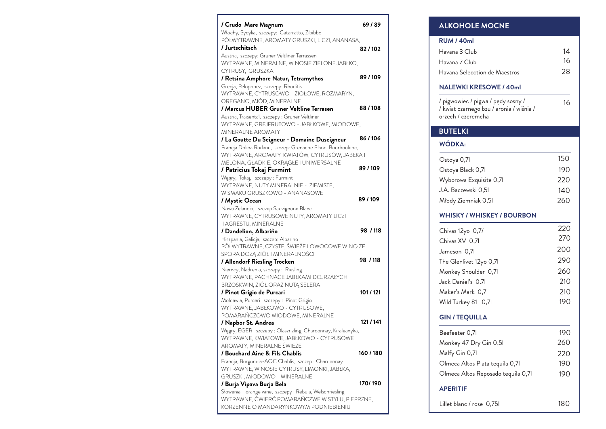### **WÓDKA:**  $\mathcal{L}^{\text{max}}$  , and  $\mathcal{L}^{\text{max}}$

Ostoya Ostoya Wyboro J.A. Bac Młody Z

# **WHISK**

Chivas  $Chivas$ Jameson The Gle Monkey Jack Da Maker's Wild Turk

## **GIN / T**  $\frac{1}{2} \left( \frac{1}{2} \right)^2 \left( \frac{1}{2} \right)^2$

Beefeet Monkey Malfy G Olmeca Olmeca

### **APERIT** <u> The Common State State State State State State State State State State State State State State State State State State State State State State State State State State State State State State State State State State State</u>

Lillet bla

| / Crudo Mare Magnum                                                                            | 69/89    |
|------------------------------------------------------------------------------------------------|----------|
| Włochy, Sycylia, szczepy: Catarratto, Zibibbo<br>PÓŁWYTRAWNE, AROMATY GRUSZKI, LICZI, ANANASA, |          |
| /Jurtschitsch                                                                                  |          |
| Austria, szczepy: Gruner Veltliner Terrassen                                                   | 82/102   |
| WYTRAWNE, MINERALNE, W NOSIE ZIELONE JABŁKO,                                                   |          |
| CYTRUSY, GRUSZKA                                                                               |          |
| / Retsina Amphore Natur, Tetramythos                                                           | 89/109   |
| Grecja, Peloponez, szczepy: Rhoditis                                                           |          |
| WYTRAWNE, CYTRUSOWO - ZIOŁOWE, ROZMARYN,                                                       |          |
| OREGANO, MIÓD, MINERALNE                                                                       |          |
| / Marcus HUBER Gruner Veltline Terrasen                                                        | 88/108   |
| Austria, Traisental, szczepy : Gruner Veltliner                                                |          |
| WYTRAWNE, GREJFRUTOWO - JABŁKOWE, MIODOWE,                                                     |          |
| <b>MINERALNE AROMATY</b>                                                                       |          |
| / La Goutte Du Seigneur - Domaine Duseigneur                                                   | 86/106   |
| Francja Dolina Rodanu, szczep: Grenache Blanc, Bourboulenc,                                    |          |
| WYTRAWNE, AROMATY KWIATÓW, CYTRUSÓW, JABŁKA I                                                  |          |
| MELONA, GŁADKIE, OKRĄGŁE I UNIWERSALNE                                                         |          |
| / Patricius Tokaj Furmint                                                                      | 89/109   |
| Węgry, Tokaj, szczepy: Furmint                                                                 |          |
| WYTRAWNE, NUTY MINERALNIE - ZIEMISTE,                                                          |          |
| W SMAKU GRUSZKOWO - ANANASOWE                                                                  |          |
| / Mystic Ocean                                                                                 | 89/109   |
| Nowa Zelandia, szczep Sauvignone Blanc                                                         |          |
| WYTRAWNE, CYTRUSOWE NUTY, AROMATY LICZI                                                        |          |
| <b>I AGRESTU, MINERALNE</b>                                                                    |          |
| / Dandelion, Albariño                                                                          | 98 / 118 |
| Hiszpania, Galicja, szczep: Albarino                                                           |          |
| PÓŁWYTRAWNE, CZYSTE, ŚWIEŻE I OWOCOWE WINO ZE                                                  |          |
| SPORĄ DOZĄ ZIÓŁ I MINERALNOŚCI                                                                 | 98 / 118 |
| / Allendorf Riesling Trocken                                                                   |          |
| Niemcy, Nadrenia, szczepy: Riesling                                                            |          |
| WYTRAWNE, PACHNĄCE JABŁKAMI DOJRZAŁYCH                                                         |          |
| BRZOSKWIN, ZIÓŁ ORAZ NUTĄ SELERA                                                               |          |
| / Pinot Grigio de Purcari                                                                      | 101/121  |
| Mołdawia, Purcari szczepy: Pinot Grigio<br>WYTRAWNE, JABŁKOWO - CYTRUSOWE,                     |          |
| POMARAŃCZOWO MIODOWE, MINERALNE                                                                |          |
| / Napbor St. Andrea                                                                            | 121/141  |
| Węgry, EGER szczepy: Olaszrizling, Chardonnay, Kiraleanyka,                                    |          |
| WYTRAWNE, KWIATOWE, JABŁKOWO - CYTRUSOWE                                                       |          |
| AROMATY, MINERALNE ŚWIEŻE                                                                      |          |
| / Bouchard Aine & Fils Chablis                                                                 | 160/180  |
| Francja, Burgundia-AOC Chablis, szczep: Chardonnay                                             |          |
| WYTRAWNE, W NOSIE CYTRUSY, LIMONKI, JABŁKA,                                                    |          |
| GRUSZKI, MIODOWO - MINERALNE                                                                   |          |
| / Burja Vipava Burja Bela                                                                      | 170/190  |
| Słowenia - orange wine, szczepy : Rebula, Welschriesling                                       |          |
| WYTRAWNE, ĆWIERĆ POMARAŃCZWE W STYLU, PIEPRZNE,                                                |          |
| KORZENNE O MANDARYNKOWYM PODNIEBIENIU                                                          |          |
|                                                                                                |          |

## **RUM** /

Havana

Havana Havana

orzech .

# **BUTE**

| <b>ALKOHOLE MOCNE</b>                                                                                |     |  |
|------------------------------------------------------------------------------------------------------|-----|--|
| <b>RUM / 40ml</b>                                                                                    |     |  |
| Havana 3 Club                                                                                        | 14  |  |
| Havana 7 Club                                                                                        | 16  |  |
| Havana Selecction de Maestros                                                                        | 28  |  |
| <b>NALEWKI KRESOWE / 40ml</b>                                                                        |     |  |
| / pigwowiec / pigwa / pędy sosny /<br>/ kwiat czarnego bzu / aronia / wiśnia /<br>orzech / czeremcha | 16  |  |
| <b>BUTELKI</b>                                                                                       |     |  |
| WÓDKA:                                                                                               |     |  |
| Ostoya 0,71                                                                                          | 150 |  |
| Ostoya Black 0,71                                                                                    | 190 |  |
| Wyborowa Exquisite 0,71                                                                              | 220 |  |
| J.A. Baczewski 0,51                                                                                  | 140 |  |
| Młody Ziemniak 0,51                                                                                  | 260 |  |
| WHISKY / WHISKEY / BOURBON                                                                           |     |  |
| Chivas 12yo 0,7/                                                                                     | 220 |  |
| Chivas XV 0,71                                                                                       | 270 |  |
| Jameson 0,71                                                                                         | 200 |  |
| The Glenlivet 12yo 0,71                                                                              | 290 |  |
| Monkey Shoulder 0,71                                                                                 | 260 |  |
| Jack Daniel's 0.71                                                                                   | 210 |  |
| Maker's Mark 0,71                                                                                    | 210 |  |
| Wild Turkey 81 0,71                                                                                  | 190 |  |
| <b>GIN / TEQUILLA</b>                                                                                |     |  |
| Beefeeter 0,71                                                                                       | 190 |  |
| Monkey 47 Dry Gin 0,51                                                                               | 260 |  |
| Malfy Gin 0,71                                                                                       | 220 |  |
| Olmeca Altos Plata tequila 0,71                                                                      | 190 |  |
| Olmeca Altos Reposado tequila 0,71                                                                   | 190 |  |
| <b>APERITIF</b>                                                                                      |     |  |
| Lillet blanc / rose 0,751                                                                            | 180 |  |